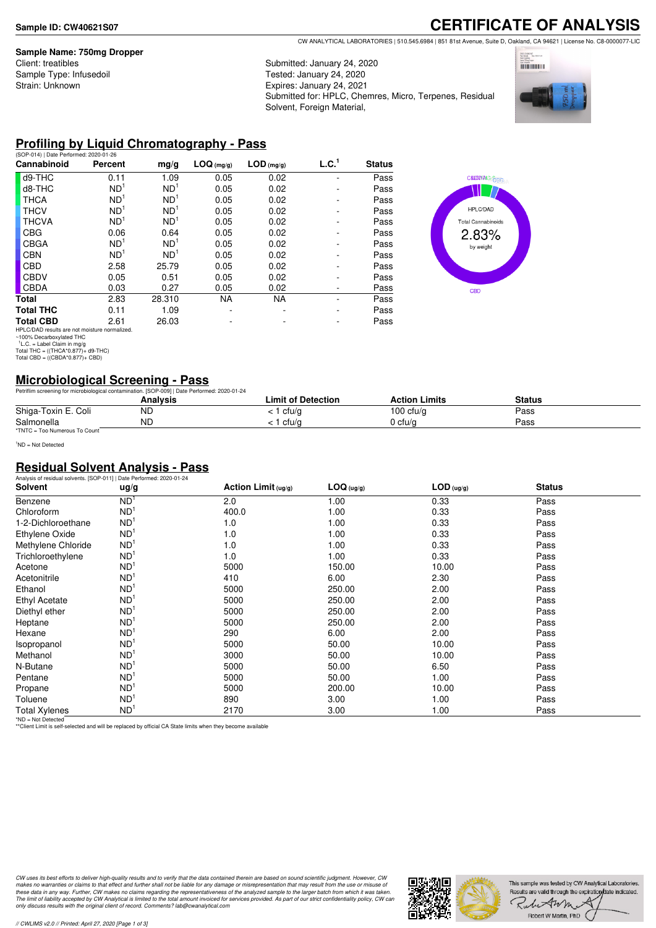### **Sample Name: 750mg Dropper**

Client: treatibles Sample Type: Infusedoil Strain: Unknown

**CERTIFICATE OF ANALYSIS** CW ANALYTICAL LABORATORIES | 510.545.6984 | 851 81st Avenue, Suite D, Oakland, CA 94621 | License No. C8-0000077-LIC

Submitted: January 24, 2020 Tested: January 24, 2020 Expires: January 24, 2021 Submitted for: HPLC, Chemres, Micro, Terpenes, Residual Solvent, Foreign Material,



### **Profiling by Liquid Chromatography - Pass**

| (SOP-014)   Date Performed: 2020-01-26                                |                 |                 |            |              |                   |               |
|-----------------------------------------------------------------------|-----------------|-----------------|------------|--------------|-------------------|---------------|
| Cannabinoid                                                           | Percent         | mg/g            | LOG (mg/g) | $LOD$ (mg/g) | L.C. <sup>1</sup> | <b>Status</b> |
| d9-THC                                                                | 0.11            | 1.09            | 0.05       | 0.02         |                   | Pass          |
| d8-THC                                                                | ND <sup>1</sup> | ND <sup>1</sup> | 0.05       | 0.02         |                   | Pass          |
| <b>THCA</b>                                                           | ND <sup>1</sup> | ND <sup>1</sup> | 0.05       | 0.02         |                   | Pass          |
| <b>THCV</b>                                                           | ND <sup>1</sup> | ND <sup>1</sup> | 0.05       | 0.02         |                   | Pass          |
| <b>THCVA</b>                                                          | ND <sup>1</sup> | ND <sup>1</sup> | 0.05       | 0.02         |                   | Pass          |
| <b>CBG</b>                                                            | 0.06            | 0.64            | 0.05       | 0.02         |                   | Pass          |
| <b>CBGA</b>                                                           | ND <sup>1</sup> | ND <sup>1</sup> | 0.05       | 0.02         |                   | Pass          |
| <b>CBN</b>                                                            | ND <sup>1</sup> | ND <sup>1</sup> | 0.05       | 0.02         |                   | Pass          |
| <b>CBD</b>                                                            | 2.58            | 25.79           | 0.05       | 0.02         |                   | Pass          |
| <b>CBDV</b>                                                           | 0.05            | 0.51            | 0.05       | 0.02         |                   | Pass          |
| <b>CBDA</b>                                                           | 0.03            | 0.27            | 0.05       | 0.02         |                   | Pass          |
| Total                                                                 | 2.83            | 28.310          | <b>NA</b>  | <b>NA</b>    |                   | Pass          |
| <b>Total THC</b>                                                      | 0.11            | 1.09            |            |              |                   | Pass          |
| <b>Total CBD</b>                                                      | 2.61            | 26.03           |            |              |                   | Pass          |
| $1101 \wedge 10 \wedge 0$ and the new next mediatrics in consellated. |                 |                 |            |              |                   |               |



HPLC/DAD results are not moisture normalized. ~100% Decarboxylated THC 1 L.C. = Label Claim in mg/g Total THC = ((THCA\*0.877)+ d9-THC) Total CBD = ((CBDA\*0.877)+ CBD)

# **Microbiological Screening - Pass**

|                               | Petriflim screening for microbiological contamination. [SOP-009]   Date Performed: 2020-01-24 |                           |                      |               |  |
|-------------------------------|-----------------------------------------------------------------------------------------------|---------------------------|----------------------|---------------|--|
|                               | Analvsis                                                                                      | <b>Limit of Detection</b> | <b>Action Limits</b> | <b>Status</b> |  |
| Shiga-Toxin E. Coli           | ND                                                                                            | cfu/g                     | $100 \text{ ctu/q}$  | Pass          |  |
| Salmonella                    | ND                                                                                            | cfu/a                     | 0 cfu/a              | Pass          |  |
| *TNTC = Too Numerous To Count |                                                                                               |                           |                      |               |  |

<sup>1</sup>ND = Not Detected

### **Residual Solvent Analysis - Pass**

| Analysis of residual solvents. [SOP-011]   Date Performed: 2020-01-24 |                 |                       |            |              |               |  |
|-----------------------------------------------------------------------|-----------------|-----------------------|------------|--------------|---------------|--|
| Solvent                                                               | ug/g            | Action Limit $(uq/q)$ | LOG (ug/g) | $LOD$ (ug/g) | <b>Status</b> |  |
| Benzene                                                               | ND <sup>1</sup> | 2.0                   | 1.00       | 0.33         | Pass          |  |
| Chloroform                                                            | ND <sup>1</sup> | 400.0                 | 1.00       | 0.33         | Pass          |  |
| 1-2-Dichloroethane                                                    | ND <sup>1</sup> | 1.0                   | 1.00       | 0.33         | Pass          |  |
| Ethylene Oxide                                                        | ND <sup>1</sup> | 1.0                   | 1.00       | 0.33         | Pass          |  |
| Methylene Chloride                                                    | ND <sup>1</sup> | 1.0                   | 1.00       | 0.33         | Pass          |  |
| Trichloroethylene                                                     | ND <sup>1</sup> | 1.0                   | 1.00       | 0.33         | Pass          |  |
| Acetone                                                               | ND <sup>1</sup> | 5000                  | 150.00     | 10.00        | Pass          |  |
| Acetonitrile                                                          | ND <sup>1</sup> | 410                   | 6.00       | 2.30         | Pass          |  |
| Ethanol                                                               | ND <sup>1</sup> | 5000                  | 250.00     | 2.00         | Pass          |  |
| Ethyl Acetate                                                         | ND <sup>1</sup> | 5000                  | 250.00     | 2.00         | Pass          |  |
| Diethyl ether                                                         | ND <sup>1</sup> | 5000                  | 250.00     | 2.00         | Pass          |  |
| Heptane                                                               | ND <sup>1</sup> | 5000                  | 250.00     | 2.00         | Pass          |  |
| Hexane                                                                | ND <sup>1</sup> | 290                   | 6.00       | 2.00         | Pass          |  |
| Isopropanol                                                           | ND <sup>1</sup> | 5000                  | 50.00      | 10.00        | Pass          |  |
| Methanol                                                              | ND <sup>1</sup> | 3000                  | 50.00      | 10.00        | Pass          |  |
| N-Butane                                                              | ND <sup>1</sup> | 5000                  | 50.00      | 6.50         | Pass          |  |
| Pentane                                                               | ND <sup>1</sup> | 5000                  | 50.00      | 1.00         | Pass          |  |
| Propane                                                               | ND <sup>1</sup> | 5000                  | 200.00     | 10.00        | Pass          |  |
| Toluene                                                               | ND <sup>1</sup> | 890                   | 3.00       | 1.00         | Pass          |  |
| <b>Total Xylenes</b>                                                  | ND <sup>1</sup> | 2170                  | 3.00       | 1.00         | Pass          |  |

\*ND = Not Detected \*\*Client Limit is self-selected and will be replaced by official CA State limits when they become available

CW uses its best efforts to deliver high-quality results and to verify that the data contained therein are based on sound scientific judgment. However, CW<br>makes no warranties or claims to that effect and further shall not *only discuss results with the original client of record. Comments? lab@cwanalytical.com*

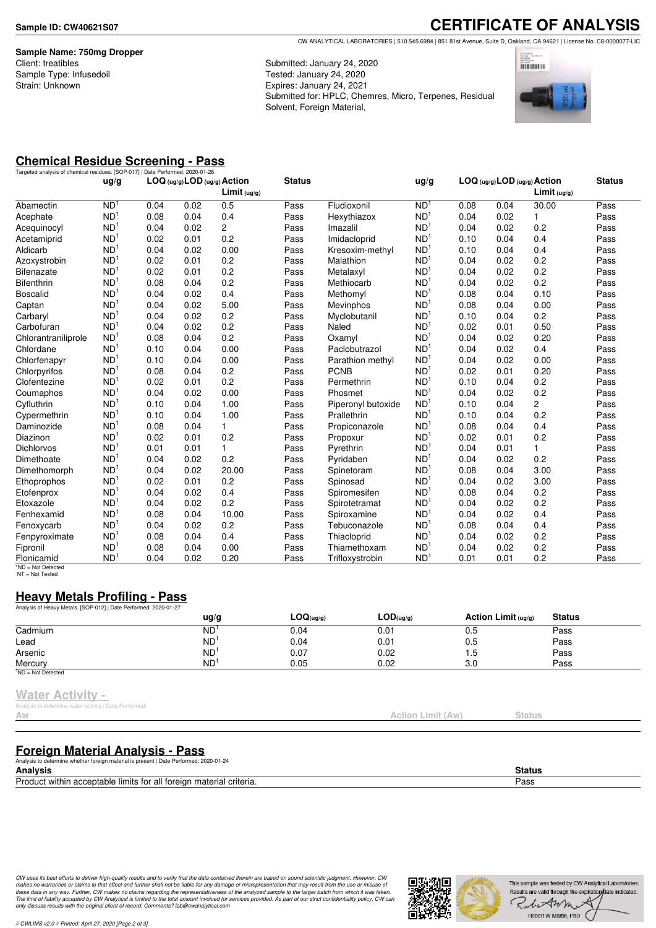**Sample Name: 750mg Dropper** Client: treatibles Sample Type: Infusedoil Strain: Unknown

**CERTIFICATE OF ANALYSIS** CW ANALYTICAL LABORATORIES | 510.545.6984 | 851 81st Avenue, Suite D, Oakland, CA 94621 | License No. C8-0000077-LIC

Submitted: January 24, 2020 Tested: January 24, 2020 Expires: January 24, 2021 Submitted for: HPLC, Chemres, Micro, Terpenes, Residual Solvent, Foreign Material,



# **Chemical Residue Screening - Pass**

| Targeted analysis of chemical residues. [SOP-017]   Date Performed: 2020-01-26 | uq/q            |      |      | LOG (ug/g) LOD (ug/g) Action<br>Limit <sub>(ug/g)</sub> | <b>Status</b> |                    | ug/g            |      | LOG (ug/g) LOD (ug/g) Action | Limit $( uq/q)$ | <b>Status</b> |
|--------------------------------------------------------------------------------|-----------------|------|------|---------------------------------------------------------|---------------|--------------------|-----------------|------|------------------------------|-----------------|---------------|
| Abamectin                                                                      | N <sub>D</sub>  | 0.04 | 0.02 | 0.5                                                     | Pass          | Fludioxonil        | ND <sup>1</sup> | 0.08 | 0.04                         | 30.00           | Pass          |
| Acephate                                                                       | ND <sup>1</sup> | 0.08 | 0.04 | 0.4                                                     | Pass          | Hexythiazox        | ND <sup>1</sup> | 0.04 | 0.02                         | 1               | Pass          |
| Acequinocyl                                                                    | ND <sup>1</sup> | 0.04 | 0.02 | 2                                                       | Pass          | Imazalil           | ND <sup>1</sup> | 0.04 | 0.02                         | 0.2             | Pass          |
| Acetamiprid                                                                    | ND <sup>1</sup> | 0.02 | 0.01 | 0.2                                                     | Pass          | Imidacloprid       | ND <sup>1</sup> | 0.10 | 0.04                         | 0.4             | Pass          |
| Aldicarb                                                                       | ND <sup>1</sup> | 0.04 | 0.02 | 0.00                                                    | Pass          | Kresoxim-methyl    | ND <sup>1</sup> | 0.10 | 0.04                         | 0.4             | Pass          |
| Azoxystrobin                                                                   | ND <sup>1</sup> | 0.02 | 0.01 | 0.2                                                     | Pass          | Malathion          | ND <sup>1</sup> | 0.04 | 0.02                         | 0.2             | Pass          |
| <b>Bifenazate</b>                                                              | ND <sup>1</sup> | 0.02 | 0.01 | 0.2                                                     | Pass          | Metalaxyl          | ND <sup>1</sup> | 0.04 | 0.02                         | 0.2             | Pass          |
| <b>Bifenthrin</b>                                                              | ND <sup>1</sup> | 0.08 | 0.04 | 0.2                                                     | Pass          | Methiocarb         | ND <sup>1</sup> | 0.04 | 0.02                         | 0.2             | Pass          |
| <b>Boscalid</b>                                                                | ND <sup>1</sup> | 0.04 | 0.02 | 0.4                                                     | Pass          | Methomyl           | ND <sup>1</sup> | 0.08 | 0.04                         | 0.10            | Pass          |
| Captan                                                                         | ND <sup>1</sup> | 0.04 | 0.02 | 5.00                                                    | Pass          | Mevinphos          | ND <sup>1</sup> | 0.08 | 0.04                         | 0.00            | Pass          |
| Carbaryl                                                                       | ND <sup>1</sup> | 0.04 | 0.02 | 0.2                                                     | Pass          | Myclobutanil       | ND <sup>1</sup> | 0.10 | 0.04                         | 0.2             | Pass          |
| Carbofuran                                                                     | ND <sup>1</sup> | 0.04 | 0.02 | 0.2                                                     | Pass          | Naled              | ND <sup>1</sup> | 0.02 | 0.01                         | 0.50            | Pass          |
| Chlorantraniliprole                                                            | ND <sup>1</sup> | 0.08 | 0.04 | 0.2                                                     | Pass          | Oxamyl             | ND <sup>1</sup> | 0.04 | 0.02                         | 0.20            | Pass          |
| Chlordane                                                                      | ND <sup>1</sup> | 0.10 | 0.04 | 0.00                                                    | Pass          | Paclobutrazol      | ND <sup>1</sup> | 0.04 | 0.02                         | 0.4             | Pass          |
| Chlorfenapyr                                                                   | ND <sup>1</sup> | 0.10 | 0.04 | 0.00                                                    | Pass          | Parathion methyl   | ND <sup>1</sup> | 0.04 | 0.02                         | 0.00            | Pass          |
| Chlorpyrifos                                                                   | ND <sup>1</sup> | 0.08 | 0.04 | 0.2                                                     | Pass          | <b>PCNB</b>        | ND <sup>1</sup> | 0.02 | 0.01                         | 0.20            | Pass          |
| Clofentezine                                                                   | ND <sup>1</sup> | 0.02 | 0.01 | 0.2                                                     | Pass          | Permethrin         | ND <sup>1</sup> | 0.10 | 0.04                         | 0.2             | Pass          |
| Coumaphos                                                                      | ND <sup>1</sup> | 0.04 | 0.02 | 0.00                                                    | Pass          | Phosmet            | ND <sup>1</sup> | 0.04 | 0.02                         | 0.2             | Pass          |
| Cyfluthrin                                                                     | ND <sup>1</sup> | 0.10 | 0.04 | 1.00                                                    | Pass          | Piperonyl butoxide | ND <sup>1</sup> | 0.10 | 0.04                         | 2               | Pass          |
| Cypermethrin                                                                   | ND <sup>1</sup> | 0.10 | 0.04 | 1.00                                                    | Pass          | Prallethrin        | ND <sup>1</sup> | 0.10 | 0.04                         | 0.2             | Pass          |
| Daminozide                                                                     | ND <sup>1</sup> | 0.08 | 0.04 | 1                                                       | Pass          | Propiconazole      | ND <sup>1</sup> | 0.08 | 0.04                         | 0.4             | Pass          |
| Diazinon                                                                       | ND <sup>1</sup> | 0.02 | 0.01 | 0.2                                                     | Pass          | Propoxur           | ND <sup>1</sup> | 0.02 | 0.01                         | 0.2             | Pass          |
| <b>Dichlorvos</b>                                                              | ND <sup>1</sup> | 0.01 | 0.01 | 1.                                                      | Pass          | Pyrethrin          | ND <sup>1</sup> | 0.04 | 0.01                         | 1               | Pass          |
| Dimethoate                                                                     | ND <sup>1</sup> | 0.04 | 0.02 | 0.2                                                     | Pass          | Pyridaben          | ND <sup>1</sup> | 0.04 | 0.02                         | 0.2             | Pass          |
| Dimethomorph                                                                   | ND <sup>1</sup> | 0.04 | 0.02 | 20.00                                                   | Pass          | Spinetoram         | ND <sup>1</sup> | 0.08 | 0.04                         | 3.00            | Pass          |
| Ethoprophos                                                                    | ND <sup>1</sup> | 0.02 | 0.01 | 0.2                                                     | Pass          | Spinosad           | ND <sup>1</sup> | 0.04 | 0.02                         | 3.00            | Pass          |
| Etofenprox                                                                     | ND <sup>1</sup> | 0.04 | 0.02 | 0.4                                                     | Pass          | Spiromesifen       | ND <sup>1</sup> | 0.08 | 0.04                         | 0.2             | Pass          |
| Etoxazole                                                                      | ND <sup>1</sup> | 0.04 | 0.02 | 0.2                                                     | Pass          | Spirotetramat      | ND <sup>1</sup> | 0.04 | 0.02                         | 0.2             | Pass          |
| Fenhexamid                                                                     | ND <sup>1</sup> | 0.08 | 0.04 | 10.00                                                   | Pass          | Spiroxamine        | ND <sup>1</sup> | 0.04 | 0.02                         | 0.4             | Pass          |
| Fenoxycarb                                                                     | ND <sup>1</sup> | 0.04 | 0.02 | 0.2                                                     | Pass          | Tebuconazole       | ND <sup>1</sup> | 0.08 | 0.04                         | 0.4             | Pass          |
| Fenpyroximate                                                                  | ND <sup>1</sup> | 0.08 | 0.04 | 0.4                                                     | Pass          | Thiacloprid        | ND <sup>1</sup> | 0.04 | 0.02                         | 0.2             | Pass          |
| Fipronil                                                                       | ND <sup>1</sup> | 0.08 | 0.04 | 0.00                                                    | Pass          | Thiamethoxam       | ND <sup>1</sup> | 0.04 | 0.02                         | 0.2             | Pass          |
| Flonicamid                                                                     | ND <sup>1</sup> | 0.04 | 0.02 | 0.20                                                    | Pass          | Trifloxystrobin    | ND <sup>1</sup> | 0.01 | 0.01                         | 0.2             | Pass          |

NT = Not Tested

## **Heavy Metals Profiling - Pass**

| Analysis of Heavy Metals. [SOP-012]   Date Performed: 2020-01-27 |           |                               |           |                       |               |  |
|------------------------------------------------------------------|-----------|-------------------------------|-----------|-----------------------|---------------|--|
|                                                                  | ug/g      | $\textsf{LOQ}(\textsf{ug/g})$ | LOD(uq/q) | Action Limit $(uq/q)$ | <b>Status</b> |  |
| Cadmium                                                          | <b>ND</b> | 0.04                          | 0.01      | 0.5                   | Pass          |  |
| Lead                                                             | ND        | 0.04                          | 0.01      | 0.5                   | Pass          |  |
| Arsenic                                                          | <b>ND</b> | 0.07                          | 0.02      | ט. ו                  | Pass          |  |
| Mercurv                                                          | <b>ND</b> | 0.05                          | 0.02      | 3.0                   | Pass          |  |
| <sup>1</sup> ND = Not Detected                                   |           |                               |           |                       |               |  |

### **Water Activity -**

is to determine water activity | Date Performed

# **Foreign Material Analysis - Pass**

Analysis to determine whether foreign material is present | Date Performed: 2020-01-24

**Analysis Status** Product within acceptable limits for all foreign material criteria. Pass

CW uses its best efforts to deliver high-quality results and to verify that the data contained therein are based on sound scientific judgment. However, CW<br>makes no warranties or claims to that effect and further shall not *only discuss results with the original client of record. Comments? lab@cwanalytical.com*



Action Limit (Aw) Status